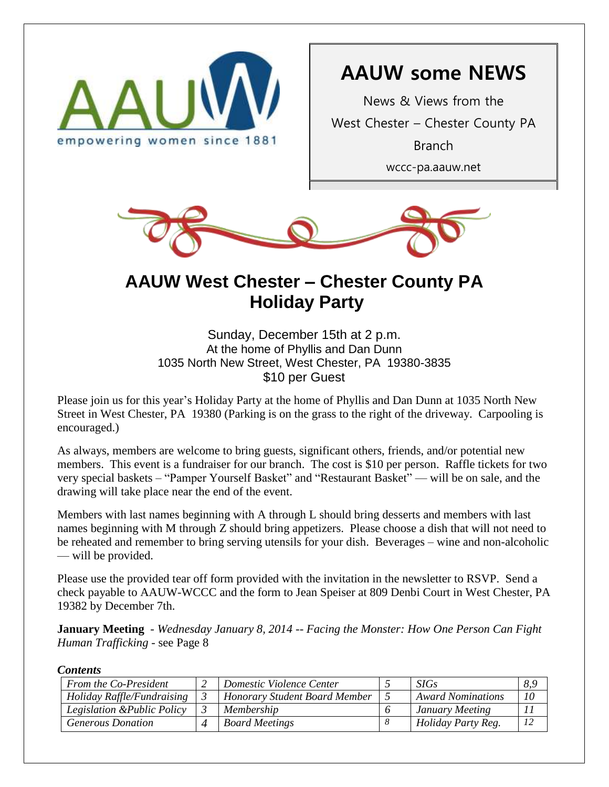

# **AAUW some NEWS**

News & Views from the West Chester – Chester County PA Branch wccc-pa.aauw.net



# **AAUW West Chester – Chester County PA Holiday Party**

Sunday, December 15th at 2 p.m. At the home of Phyllis and Dan Dunn 1035 North New Street, West Chester, PA 19380-3835 \$10 per Guest

Please join us for this year's Holiday Party at the home of Phyllis and Dan Dunn at 1035 North New Street in West Chester, PA 19380 (Parking is on the grass to the right of the driveway. Carpooling is encouraged.)

As always, members are welcome to bring guests, significant others, friends, and/or potential new members. This event is a fundraiser for our branch. The cost is \$10 per person. Raffle tickets for two very special baskets – "Pamper Yourself Basket" and "Restaurant Basket" — will be on sale, and the drawing will take place near the end of the event.

Members with last names beginning with A through L should bring desserts and members with last names beginning with M through Z should bring appetizers. Please choose a dish that will not need to be reheated and remember to bring serving utensils for your dish. Beverages – wine and non-alcoholic — will be provided.

Please use the provided tear off form provided with the invitation in the newsletter to RSVP. Send a check payable to AAUW-WCCC and the form to Jean Speiser at 809 Denbi Court in West Chester, PA 19382 by December 7th.

**January Meeting** - *Wednesday January 8, 2014 -- Facing the Monster: How One Person Can Fight Human Trafficking -* see Page 8

*Contents*

| From the Co-President       | Domestic Violence Center             | SIGs                     | 8.9 |
|-----------------------------|--------------------------------------|--------------------------|-----|
| Holiday Raffle/Fundraising  | <b>Honorary Student Board Member</b> | <b>Award Nominations</b> | 10  |
| Legislation & Public Policy | Membership                           | January Meeting          |     |
| <b>Generous Donation</b>    | <b>Board Meetings</b>                | Holiday Party Reg.       | 12  |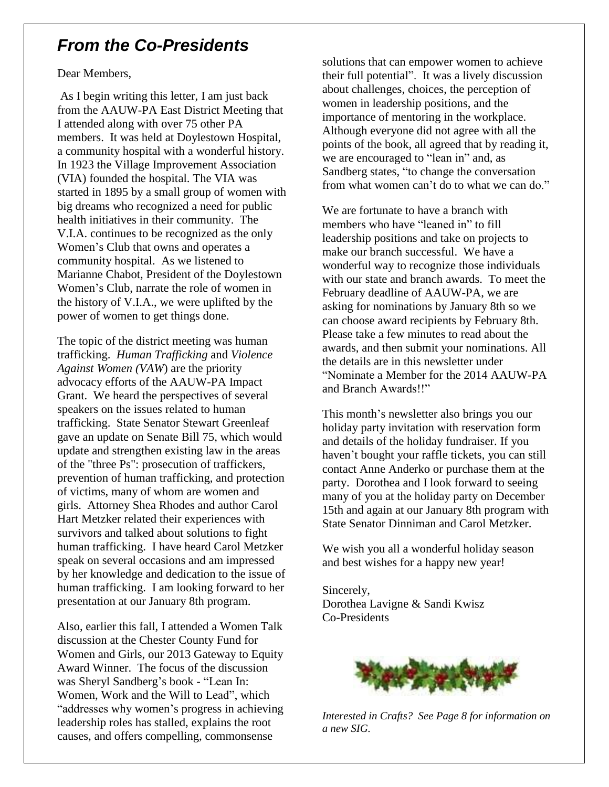## *From the Co-Presidents*

Dear Members,

As I begin writing this letter, I am just back from the AAUW-PA East District Meeting that I attended along with over 75 other PA members. It was held at Doylestown Hospital, a community hospital with a wonderful history. In 1923 the Village Improvement Association (VIA) founded the hospital. The VIA was started in 1895 by a small group of women with big dreams who recognized a need for public health initiatives in their community. The V.I.A. continues to be recognized as the only Women's Club that owns and operates a community hospital. As we listened to Marianne Chabot, President of the Doylestown Women's Club, narrate the role of women in the history of V.I.A., we were uplifted by the power of women to get things done.

The topic of the district meeting was human trafficking. *Human Trafficking* and *Violence Against Women (VAW*) are the priority advocacy efforts of the AAUW-PA Impact Grant. We heard the perspectives of several speakers on the issues related to human trafficking. State Senator Stewart Greenleaf gave an update on Senate Bill 75, which would update and strengthen existing law in the areas of the "three Ps": prosecution of traffickers, prevention of human trafficking, and protection of victims, many of whom are women and girls. Attorney Shea Rhodes and author Carol Hart Metzker related their experiences with survivors and talked about solutions to fight human trafficking. I have heard Carol Metzker speak on several occasions and am impressed by her knowledge and dedication to the issue of human trafficking. I am looking forward to her presentation at our January 8th program.

Also, earlier this fall, I attended a Women Talk discussion at the Chester County Fund for Women and Girls, our 2013 Gateway to Equity Award Winner. The focus of the discussion was Sheryl Sandberg's book - "Lean In: Women, Work and the Will to Lead", which "addresses why women's progress in achieving leadership roles has stalled, explains the root causes, and offers compelling, commonsense

solutions that can empower women to achieve their full potential". It was a lively discussion about challenges, choices, the perception of women in leadership positions, and the importance of mentoring in the workplace. Although everyone did not agree with all the points of the book, all agreed that by reading it, we are encouraged to "lean in" and, as Sandberg states, "to change the conversation from what women can't do to what we can do."

We are fortunate to have a branch with members who have "leaned in" to fill leadership positions and take on projects to make our branch successful. We have a wonderful way to recognize those individuals with our state and branch awards. To meet the February deadline of AAUW-PA, we are asking for nominations by January 8th so we can choose award recipients by February 8th. Please take a few minutes to read about the awards, and then submit your nominations. All the details are in this newsletter under "Nominate a Member for the 2014 AAUW-PA and Branch Awards!!"

This month's newsletter also brings you our holiday party invitation with reservation form and details of the holiday fundraiser. If you haven't bought your raffle tickets, you can still contact Anne Anderko or purchase them at the party. Dorothea and I look forward to seeing many of you at the holiday party on December 15th and again at our January 8th program with State Senator Dinniman and Carol Metzker.

We wish you all a wonderful holiday season and best wishes for a happy new year!

Sincerely, Dorothea Lavigne & Sandi Kwisz Co-Presidents



*Interested in Crafts? See Page 8 for information on a new SIG.*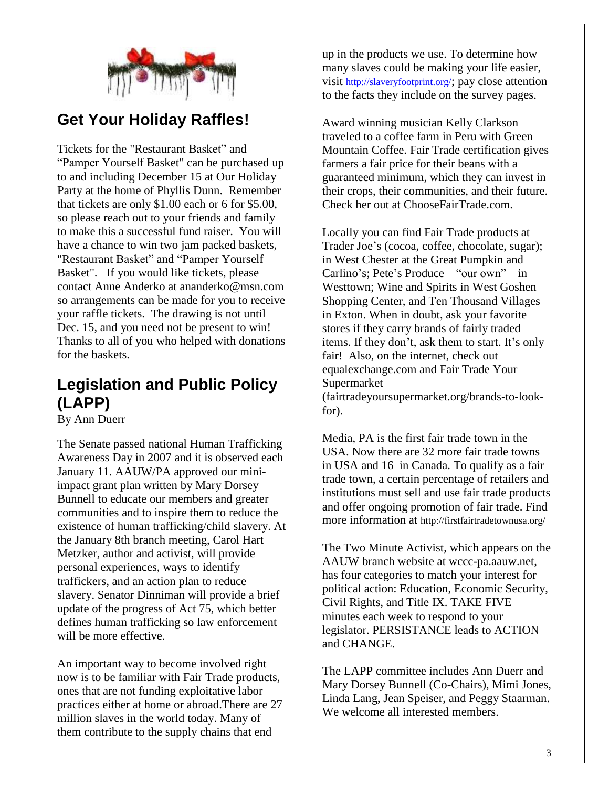

# **Get Your Holiday Raffles!**

Tickets for the "Restaurant Basket" and "Pamper Yourself Basket" can be purchased up to and including December 15 at Our Holiday Party at the home of Phyllis Dunn. Remember that tickets are only \$1.00 each or 6 for \$5.00, so please reach out to your friends and family to make this a successful fund raiser. You will have a chance to win two jam packed baskets, "Restaurant Basket" and "Pamper Yourself Basket". If you would like tickets, please contact Anne Anderko at [ananderko@msn.com](mailto:ananderko@msn.com) so arrangements can be made for you to receive your raffle tickets. The drawing is not until Dec. 15, and you need not be present to win! Thanks to all of you who helped with donations for the baskets.

## **Legislation and Public Policy (LAPP)**

By Ann Duerr

The Senate passed national Human Trafficking Awareness Day in 2007 and it is observed each January 11. AAUW/PA approved our miniimpact grant plan written by Mary Dorsey Bunnell to educate our members and greater communities and to inspire them to reduce the existence of human trafficking/child slavery. At the January 8th branch meeting, Carol Hart Metzker, author and activist, will provide personal experiences, ways to identify traffickers, and an action plan to reduce slavery. Senator Dinniman will provide a brief update of the progress of Act 75, which better defines human trafficking so law enforcement will be more effective.

An important way to become involved right now is to be familiar with Fair Trade products, ones that are not funding exploitative labor practices either at home or abroad.There are 27 million slaves in the world today. Many of them contribute to the supply chains that end

up in the products we use. To determine how many slaves could be making your life easier, visit <http://slaveryfootprint.org/>; pay close attention to the facts they include on the survey pages.

Award winning musician Kelly Clarkson traveled to a coffee farm in Peru with Green Mountain Coffee. Fair Trade certification gives farmers a fair price for their beans with a guaranteed minimum, which they can invest in their crops, their communities, and their future. Check her out at ChooseFairTrade.com.

Locally you can find Fair Trade products at Trader Joe's (cocoa, coffee, chocolate, sugar); in West Chester at the Great Pumpkin and Carlino's; Pete's Produce—"our own"—in Westtown; Wine and Spirits in West Goshen Shopping Center, and Ten Thousand Villages in Exton. When in doubt, ask your favorite stores if they carry brands of fairly traded items. If they don't, ask them to start. It's only fair! Also, on the internet, check out [equalexchange.com](http://equalexchange.com/) and Fair Trade Your Supermarket [\(fairtradeyoursupermarket.org/brands-to-look-](http://fairtradeyoursupermarket.org/brands-to-look-for)

Media, PA is the first fair trade town in the USA. Now there are 32 more fair trade towns in USA and 16 in Canada. To qualify as a fair trade town, a certain percentage of retailers and institutions must sell and use fair trade products and offer ongoing promotion of fair trade. Find

more information at http://firstfairtradetownusa.org/

[for\)](http://fairtradeyoursupermarket.org/brands-to-look-for).

The Two Minute Activist, which appears on the AAUW branch website at [wccc-pa.aauw.net,](http://wccc-pa.aauw.net/) has four categories to match your interest for political action: Education, Economic Security, Civil Rights, and Title IX. TAKE FIVE minutes each week to respond to your legislator. PERSISTANCE leads to ACTION and CHANGE.

The LAPP committee includes Ann Duerr and Mary Dorsey Bunnell (Co-Chairs), Mimi Jones, Linda Lang, Jean Speiser, and Peggy Staarman. We welcome all interested members.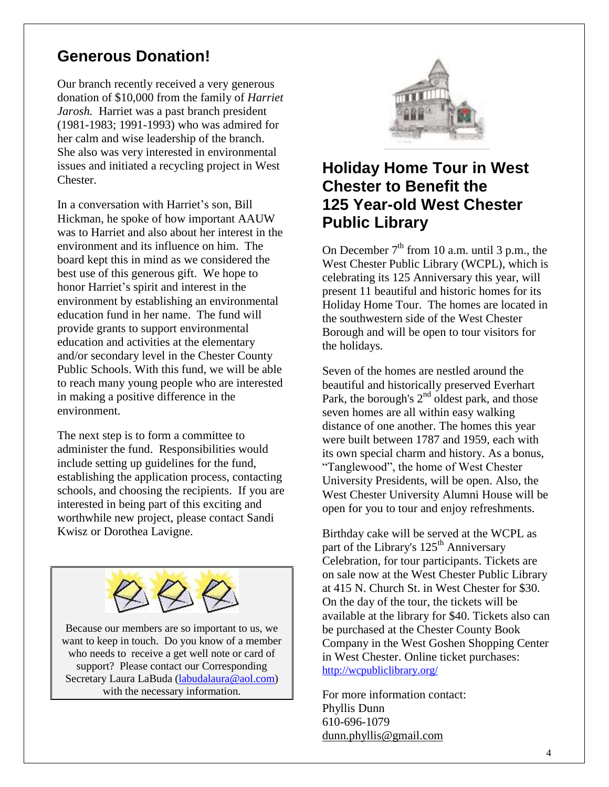#### **Generous Donation!**

Our branch recently received a very generous donation of \$10,000 from the family of *Harriet Jarosh.* Harriet was a past branch president (1981-1983; 1991-1993) who was admired for her calm and wise leadership of the branch. She also was very interested in environmental issues and initiated a recycling project in West Chester.

In a conversation with Harriet's son, Bill Hickman, he spoke of how important AAUW was to Harriet and also about her interest in the environment and its influence on him. The board kept this in mind as we considered the best use of this generous gift. We hope to honor Harriet's spirit and interest in the environment by establishing an environmental education fund in her name. The fund will provide grants to support environmental education and activities at the elementary and/or secondary level in the Chester County Public Schools. With this fund, we will be able to reach many young people who are interested in making a positive difference in the environment.

The next step is to form a committee to administer the fund. Responsibilities would include setting up guidelines for the fund, establishing the application process, contacting schools, and choosing the recipients. If you are interested in being part of this exciting and worthwhile new project, please contact Sandi Kwisz or Dorothea Lavigne.



Because our members are so important to us, we want to keep in touch. Do you know of a member who needs to receive a get well note or card of support? Please contact our Corresponding Secretary Laura LaBuda [\(labudalaura@aol.com\)](mailto:labudalaura@aol.com) with the necessary information.



### **Holiday Home Tour in West Chester to Benefit the 125 Year-old West Chester Public Library**

On December  $7<sup>th</sup>$  from 10 a.m. until 3 p.m., the West Chester Public Library (WCPL), which is celebrating its 125 Anniversary this year, will present 11 beautiful and historic homes for its Holiday Home Tour. The homes are located in the southwestern side of the West Chester Borough and will be open to tour visitors for the holidays.

Seven of the homes are nestled around the beautiful and historically preserved Everhart Park, the borough's  $2<sup>nd</sup>$  oldest park, and those seven homes are all within easy walking distance of one another. The homes this year were built between 1787 and 1959, each with its own special charm and history. As a bonus, "Tanglewood", the home of West Chester University Presidents, will be open. Also, the West Chester University Alumni House will be open for you to tour and enjoy refreshments.

Birthday cake will be served at the WCPL as part of the Library's  $125<sup>th</sup>$  Anniversary Celebration, for tour participants. Tickets are on sale now at the West Chester Public Library at 415 N. Church St. in West Chester for \$30. On the day of the tour, the tickets will be available at the library for \$40. Tickets also can be purchased at the Chester County Book Company in the West Goshen Shopping Center in West Chester. Online ticket purchases: <http://wcpubliclibrary.org/>

For more information contact: Phyllis Dunn 610-696-1079 [dunn.phyllis@gmail.com](mailto:dunn.phyllis@gmail.com)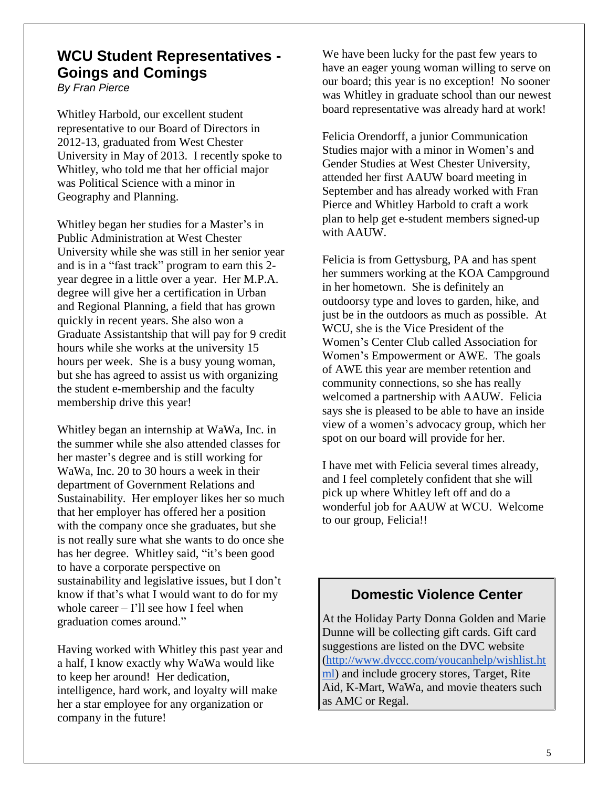## **WCU Student Representatives - Goings and Comings**

*By Fran Pierce*

Whitley Harbold, our excellent student representative to our Board of Directors in 2012-13, graduated from West Chester University in May of 2013. I recently spoke to Whitley, who told me that her official major was Political Science with a minor in Geography and Planning.

Whitley began her studies for a Master's in Public Administration at West Chester University while she was still in her senior year and is in a "fast track" program to earn this 2 year degree in a little over a year. Her M.P.A. degree will give her a certification in Urban and Regional Planning, a field that has grown quickly in recent years. She also won a Graduate Assistantship that will pay for 9 credit hours while she works at the university 15 hours per week. She is a busy young woman, but she has agreed to assist us with organizing the student e-membership and the faculty membership drive this year!

Whitley began an internship at WaWa, Inc. in the summer while she also attended classes for her master's degree and is still working for WaWa, Inc. 20 to 30 hours a week in their department of Government Relations and Sustainability. Her employer likes her so much that her employer has offered her a position with the company once she graduates, but she is not really sure what she wants to do once she has her degree. Whitley said, "it's been good to have a corporate perspective on sustainability and legislative issues, but I don't know if that's what I would want to do for my whole career – I'll see how I feel when graduation comes around."

Having worked with Whitley this past year and a half, I know exactly why WaWa would like to keep her around! Her dedication, intelligence, hard work, and loyalty will make her a star employee for any organization or company in the future!

We have been lucky for the past few years to have an eager young woman willing to serve on our board; this year is no exception! No sooner was Whitley in graduate school than our newest board representative was already hard at work!

Felicia Orendorff, a junior Communication Studies major with a minor in Women's and Gender Studies at West Chester University, attended her first AAUW board meeting in September and has already worked with Fran Pierce and Whitley Harbold to craft a work plan to help get e-student members signed-up with AAUW.

Felicia is from Gettysburg, PA and has spent her summers working at the KOA Campground in her hometown. She is definitely an outdoorsy type and loves to garden, hike, and just be in the outdoors as much as possible. At WCU, she is the Vice President of the Women's Center Club called Association for Women's Empowerment or AWE. The goals of AWE this year are member retention and community connections, so she has really welcomed a partnership with AAUW. Felicia says she is pleased to be able to have an inside view of a women's advocacy group, which her spot on our board will provide for her.

I have met with Felicia several times already, and I feel completely confident that she will pick up where Whitley left off and do a wonderful job for AAUW at WCU. Welcome to our group, Felicia!!

#### **Domestic Violence Center**

At the Holiday Party Donna Golden and Marie Dunne will be collecting gift cards. Gift card suggestions are listed on the DVC website [\(http://www.dvccc.com/youcanhelp/wishlist.ht](http://www.dvccc.com/youcanhelp/wishlist.html) [ml\)](http://www.dvccc.com/youcanhelp/wishlist.html) and include grocery stores, Target, Rite Aid, K-Mart, WaWa, and movie theaters such as AMC or Regal.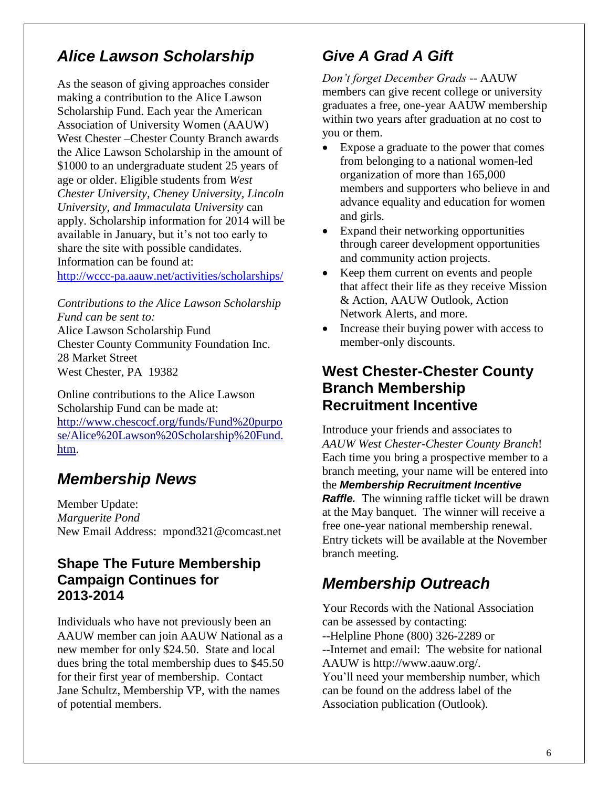# *Alice Lawson Scholarship*

As the season of giving approaches consider making a contribution to the Alice Lawson Scholarship Fund. Each year the American Association of University Women (AAUW) West Chester –Chester County Branch awards the Alice Lawson Scholarship in the amount of \$1000 to an undergraduate student 25 years of age or older. Eligible students from *West Chester University, Cheney University, Lincoln University, and Immaculata University* can apply. Scholarship information for 2014 will be available in January, but it's not too early to share the site with possible candidates. Information can be found at:

<http://wccc-pa.aauw.net/activities/scholarships/>

*Contributions to the Alice Lawson Scholarship Fund can be sent to:* Alice Lawson Scholarship Fund Chester County Community Foundation Inc.

28 Market Street West Chester, PA 19382

Online contributions to the Alice Lawson Scholarship Fund can be made at: [http://www.chescocf.org/funds/Fund%20purpo](http://www.chescocf.org/funds/Fund%20purpose/Alice%20Lawson%20Scholarship%20Fund.htm) [se/Alice%20Lawson%20Scholarship%20Fund.](http://www.chescocf.org/funds/Fund%20purpose/Alice%20Lawson%20Scholarship%20Fund.htm) [htm.](http://www.chescocf.org/funds/Fund%20purpose/Alice%20Lawson%20Scholarship%20Fund.htm)

# *Membership News*

Member Update: *Marguerite Pond* New Email Address: mpond321@comcast.net

#### **Shape The Future Membership Campaign Continues for 2013-2014**

Individuals who have not previously been an AAUW member can join AAUW National as a new member for only \$24.50. State and local dues bring the total membership dues to \$45.50 for their first year of membership. Contact Jane Schultz, Membership VP, with the names of potential members.

# *Give A Grad A Gift*

*Don't forget December Grads* -- AAUW members can give recent college or university graduates a free, one-year AAUW membership within two years after graduation at no cost to you or them.

- Expose a graduate to the power that comes from belonging to a national women-led organization of more than 165,000 members and supporters who believe in and advance equality and education for women and girls.
- Expand their networking opportunities through career development opportunities and community action projects.
- Keep them current on events and people that affect their life as they receive Mission & Action, AAUW Outlook, Action Network Alerts, and more.
- Increase their buying power with access to member-only discounts.

#### **West Chester-Chester County Branch Membership Recruitment Incentive**

Introduce your friends and associates to *AAUW West Chester-Chester County Branch*! Each time you bring a prospective member to a branch meeting, your name will be entered into the *Membership Recruitment Incentive Raffle.* The winning raffle ticket will be drawn at the May banquet. The winner will receive a free one-year national membership renewal. Entry tickets will be available at the November branch meeting.

# *Membership Outreach*

Your Records with the National Association can be assessed by contacting: --Helpline Phone (800) 326-2289 or --Internet and email: The website for national AAUW is http://www.aauw.org/. You'll need your membership number, which can be found on the address label of the Association publication (Outlook).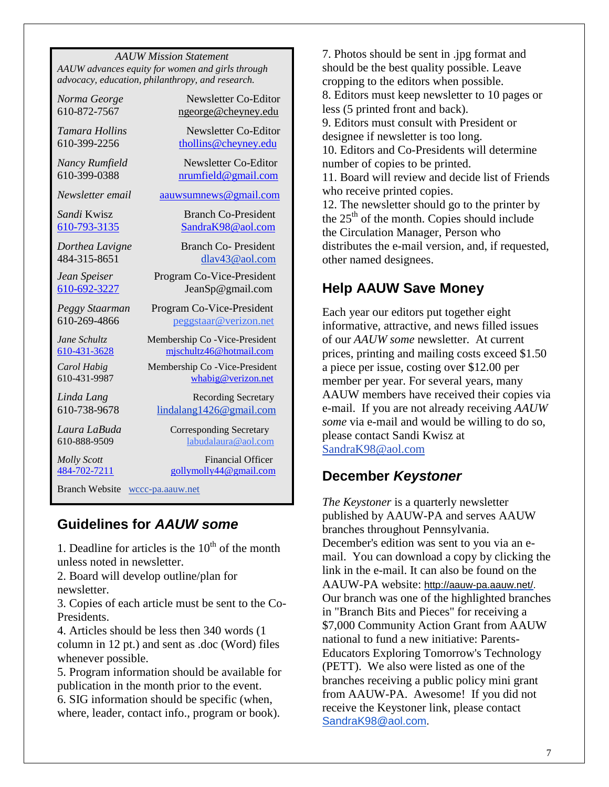*AAUW Mission Statement AAUW advances equity for women and girls through advocacy, education, philanthropy, and research.*

*Norma George* Newsletter Co-Editor 610-872-7567 [ngeorge@cheyney.edu](mailto:ngeorge@cheyney.ecu)

*Tamara Hollins* Newsletter Co-Editor 610-399-2256 [thollins@cheyney.edu](mailto:thollins@cheyney.edu)

*Nancy Rumfield* Newsletter Co-Editor 610-399-0388 [nrumfield@gmail.com](mailto:nrumfield@gmail.com)

*Newsletter email* [aauwsumnews@gmail.com](mailto:aauwsumnews@gmail.com)

*Sandi* Kwisz **Branch Co-President** [610-793-3135](tel:/610-793-3135) [SandraK98@aol.com](mailto:SandraK98@aol.com)

*Dorthea Lavigne* Branch Co- President 484-315-8651 [dlav43@aol.com](mailto:franpierce@verizon.net)

*Jean Speiser* Program Co-Vice-President [610-692-3227](tel:/610-692-3227) JeanSp@gmail.com

*Peggy Staarman* Program Co-Vice-President 610-269-4866 [peggstaar@verizon.net](mailto:4dores@comcast.net)

*Jane Schultz* Membership Co -Vice-President [610-431-3628](tel:/610-431-3628) [mjschultz46@hotmail.com](mailto:mjschultz46@hotmail.com)

*Carol Habig* Membership Co -Vice-President 610-431-9987 [whabig@verizon.net](mailto:mjschultz46@hotmail.com)

*Linda Lang* **Recording Secretary** 610-738-9678 lindalang1426@gmail.com

*Laura LaBuda* **Corresponding Secretary** 610-888-9509 labudalaura@aol.com

*Molly Scott* Financial Officer [484-702-7211](tel:/484-702-7211) [gollymolly44@gmail.com](mailto:gollymolly44@gmail.com)

Branch Website [wccc-pa.aauw.net](http://wccc-pa.aauw.net/)

#### **Guidelines for** *AAUW some*

1. Deadline for articles is the  $10<sup>th</sup>$  of the month unless noted in newsletter.

2. Board will develop outline/plan for newsletter.

3. Copies of each article must be sent to the Co-Presidents.

4. Articles should be less then 340 words (1 column in 12 pt.) and sent as .doc (Word) files whenever possible.

5. Program information should be available for publication in the month prior to the event. 6. SIG information should be specific (when, where, leader, contact info., program or book).

7. Photos should be sent in .jpg format and should be the best quality possible. Leave cropping to the editors when possible. 8. Editors must keep newsletter to 10 pages or less (5 printed front and back). 9. Editors must consult with President or designee if newsletter is too long. 10. Editors and Co-Presidents will determine number of copies to be printed. 11. Board will review and decide list of Friends who receive printed copies. 12. The newsletter should go to the printer by

the  $25<sup>th</sup>$  of the month. Copies should include the Circulation Manager, Person who distributes the e-mail version, and, if requested, other named designees.

#### **Help AAUW Save Money**

Each year our editors put together eight informative, attractive, and news filled issues of our *AAUW some* newsletter. At current prices, printing and mailing costs exceed \$1.50 a piece per issue, costing over \$12.00 per member per year. For several years, many AAUW members have received their copies via e-mail. If you are not already receiving *AAUW some* via e-mail and would be willing to do so, please contact Sandi Kwisz at [SandraK98@aol.com](mailto:SandraK98@aol.com)

#### **December** *Keystoner*

*The Keystoner* is a quarterly newsletter published by AAUW-PA and serves AAUW branches throughout Pennsylvania. December's edition was sent to you via an email. You can download a copy by clicking the link in the e-mail. It can also be found on the AAUW-PA website: [http://aauw-pa.aauw.net/.](http://aauw-pa.aauw.net/) Our branch was one of the highlighted branches in "Branch Bits and Pieces" for receiving a \$7,000 Community Action Grant from AAUW national to fund a new initiative: Parents-Educators Exploring Tomorrow's Technology (PETT). We also were listed as one of the branches receiving a public policy mini grant from AAUW-PA. Awesome! If you did not receive the Keystoner link, please contact [SandraK98@aol.com.](mailto:SandraK98@aol.com)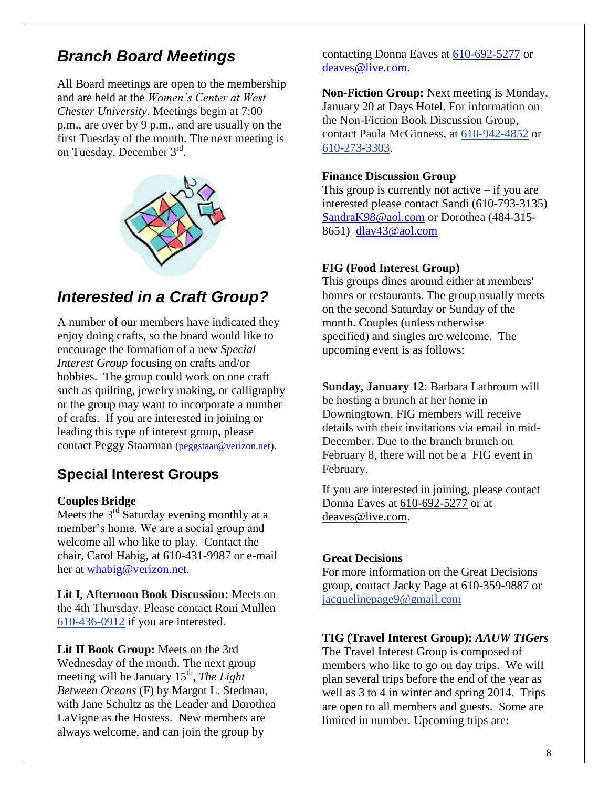## *Branch Board Meetings*

All Board meetings are open to the membership and are held at the *Women's Center at West Chester University.* Meetings begin at 7:00 p.m., are over by 9 p.m., and are usually on the first Tuesday of the month. The next meeting is on Tuesday, December 3rd.



# *Interested in a Craft Group?*

A number of our members have indicated they enjoy doing crafts, so the board would like to encourage the formation of a new *Special Interest Group* focusing on crafts and/or hobbies. The group could work on one craft such as quilting, jewelry making, or calligraphy or the group may want to incorporate a number of crafts. If you are interested in joining or leading this type of interest group, please contact Peggy Staarman [\(peggstaar@verizon.net\)](mailto:peggstaar@verizon.net).

## **Special Interest Groups**

#### **Couples Bridge**

Meets the  $3<sup>rd</sup>$  Saturday evening monthly at a member's home. We are a social group and welcome all who like to play. Contact the chair, Carol Habig, at 610-431-9987 or e-mail her at [whabig@verizon.net.](mailto:whabig@verizon.net)

**Lit I, Afternoon Book Discussion:** Meets on the 4th Thursday. Please contact Roni Mullen [610-436-0912](tel:/610-436-0912) if you are interested.

**Lit II Book Group:** Meets on the 3rd Wednesday of the month. The next group meeting will be January 15<sup>th</sup>, *The Light Between Oceans* (F) by Margot L. Stedman, with Jane Schultz as the Leader and Dorothea LaVigne as the Hostess. New members are always welcome, and can join the group by

contacting Donna Eaves at [610-692-5277](tel:/610-692-5277) or [deaves@live.com.](mailto:deaves@live.com)

**Non-Fiction Group:** Next meeting is Monday, January 20 at Days Hotel. For information on the Non-Fiction Book Discussion Group, contact Paula McGinness, at [610-942-4852](tel:/610-942-4852) or [610-273-3303.](tel:/610-273-3303)

#### **Finance Discussion Group**

This group is currently not active  $-$  if you are interested please contact Sandi (610-793-3135) [SandraK98@aol.com](mailto:SandraK98@aol.com) or Dorothea (484-315- 8651) [dlav43@aol.com](mailto:dlav43@aol.com)

#### **FIG (Food Interest Group)**

This groups dines around either at members' homes or restaurants. The group usually meets on the second Saturday or Sunday of the month. Couples (unless otherwise specified) and singles are welcome. The upcoming event is as follows:

**Sunday, January 12**: Barbara Lathroum will be hosting a brunch at her home in Downingtown. FIG members will receive details with their invitations via email in mid-December. Due to the branch brunch on February 8, there will not be a FIG event in February.

If you are interested in joining, please contact Donna Eaves at 610-692-5277 or at [deaves@live.com.](mailto:deaves@live.com)

#### **Great Decisions**

For more information on the Great Decisions group, contact Jacky Page at 610-359-9887 or [jacquelinepage9@gmail.com](mailto:jacquelinepage9@gmail.com)

#### **TIG (Travel Interest Group):** *AAUW TIGers*

The Travel Interest Group is composed of members who like to go on day trips. We will plan several trips before the end of the year as well as 3 to 4 in winter and spring 2014. Trips are open to all members and guests. Some are limited in number. Upcoming trips are: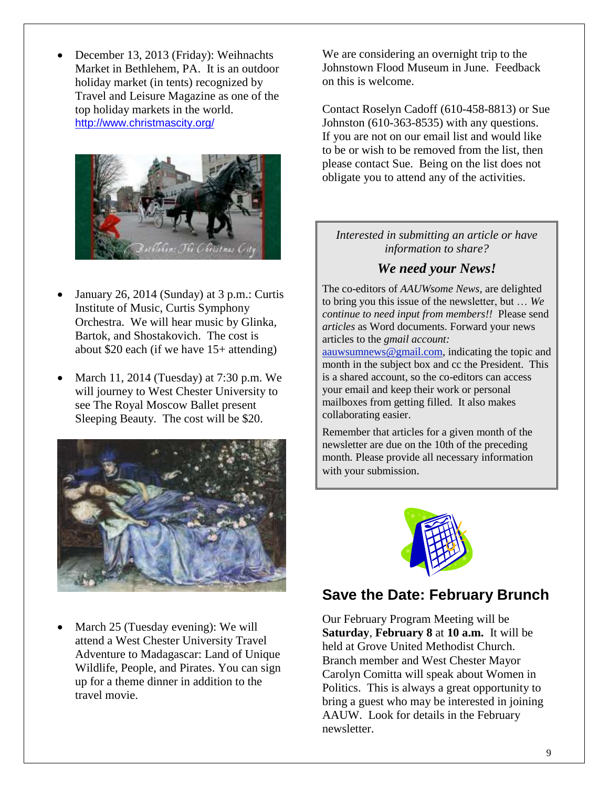December 13, 2013 (Friday): Weihnachts Market in Bethlehem, PA. It is an outdoor holiday market (in tents) recognized by Travel and Leisure Magazine as one of the top holiday markets in the world. <http://www.christmascity.org/>



- January 26, 2014 (Sunday) at 3 p.m.: Curtis Institute of Music, Curtis Symphony Orchestra. We will hear music by Glinka, Bartok, and Shostakovich. The cost is about \$20 each (if we have 15+ attending)
- March 11, 2014 (Tuesday) at 7:30 p.m. We will journey to West Chester University to see The Royal Moscow Ballet present Sleeping Beauty. The cost will be \$20.



 March 25 (Tuesday evening): We will attend a West Chester University Travel Adventure to Madagascar: Land of Unique Wildlife, People, and Pirates. You can sign up for a theme dinner in addition to the travel movie.

We are considering an overnight trip to the Johnstown Flood Museum in June. Feedback on this is welcome.

Contact Roselyn Cadoff (610-458-8813) or Sue Johnston (610-363-8535) with any questions. If you are not on our email list and would like to be or wish to be removed from the list, then please contact Sue. Being on the list does not obligate you to attend any of the activities.

#### *Interested in submitting an article or have information to share?*

#### *We need your News!*

The co-editors of *AAUWsome News*, are delighted to bring you this issue of the newsletter, but … *We continue to need input from members!!* Please send *articles* as Word documents. Forward your news articles to the *gmail account:* [aauwsumnews@gmail.com,](mailto:aauwsum@gmail.com) indicating the topic and month in the subject box and cc the President. This

is a shared account, so the co-editors can access your email and keep their work or personal mailboxes from getting filled. It also makes collaborating easier.

Remember that articles for a given month of the newsletter are due on the 10th of the preceding month*.* Please provide all necessary information with your submission.



## **Save the Date: February Brunch**

Our February Program Meeting will be **Saturday**, **February 8** at **10 a.m.** It will be held at Grove United Methodist Church. Branch member and West Chester Mayor Carolyn Comitta will speak about Women in Politics. This is always a great opportunity to bring a guest who may be interested in joining AAUW. Look for details in the February newsletter.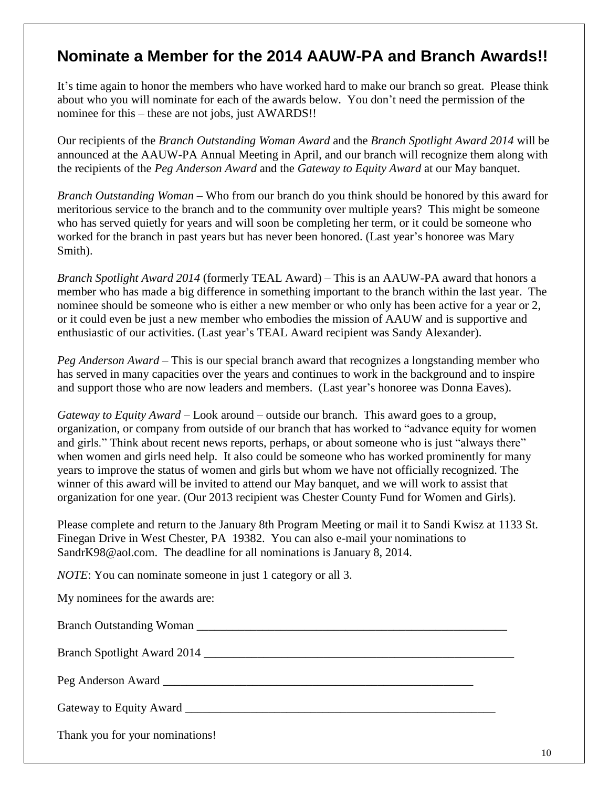## **Nominate a Member for the 2014 AAUW-PA and Branch Awards!!**

It's time again to honor the members who have worked hard to make our branch so great. Please think about who you will nominate for each of the awards below. You don't need the permission of the nominee for this – these are not jobs, just AWARDS!!

Our recipients of the *Branch Outstanding Woman Award* and the *Branch Spotlight Award 2014* will be announced at the AAUW-PA Annual Meeting in April, and our branch will recognize them along with the recipients of the *Peg Anderson Award* and the *Gateway to Equity Award* at our May banquet.

*Branch Outstanding Woman* – Who from our branch do you think should be honored by this award for meritorious service to the branch and to the community over multiple years? This might be someone who has served quietly for years and will soon be completing her term, or it could be someone who worked for the branch in past years but has never been honored. (Last year's honoree was Mary Smith).

*Branch Spotlight Award 2014* (formerly TEAL Award) – This is an AAUW-PA award that honors a member who has made a big difference in something important to the branch within the last year. The nominee should be someone who is either a new member or who only has been active for a year or 2, or it could even be just a new member who embodies the mission of AAUW and is supportive and enthusiastic of our activities. (Last year's TEAL Award recipient was Sandy Alexander).

*Peg Anderson Award* – This is our special branch award that recognizes a longstanding member who has served in many capacities over the years and continues to work in the background and to inspire and support those who are now leaders and members. (Last year's honoree was Donna Eaves).

*Gateway to Equity Award* – Look around – outside our branch. This award goes to a group, organization, or company from outside of our branch that has worked to "advance equity for women and girls." Think about recent news reports, perhaps, or about someone who is just "always there" when women and girls need help. It also could be someone who has worked prominently for many years to improve the status of women and girls but whom we have not officially recognized. The winner of this award will be invited to attend our May banquet, and we will work to assist that organization for one year. (Our 2013 recipient was Chester County Fund for Women and Girls).

Please complete and return to the January 8th Program Meeting or mail it to Sandi Kwisz at 1133 St. Finegan Drive in West Chester, PA 19382. You can also e-mail your nominations to SandrK98@aol.com. The deadline for all nominations is January 8, 2014.

*NOTE*: You can nominate someone in just 1 category or all 3.

My nominees for the awards are:

Branch Outstanding Woman **Lawrence and Serverse** Equation 2 and 2 and 2 and 2 and 2 and 2 and 2 and 2 and 2 and 2 and 2 and 2 and 2 and 2 and 2 and 2 and 2 and 2 and 2 and 2 and 2 and 2 and 2 and 2 and 2 and 2 and 2 and 2

Branch Spotlight Award 2014 \_\_\_\_\_\_\_\_\_\_\_\_\_\_\_\_\_\_\_\_\_\_\_\_\_\_\_\_\_\_\_\_\_\_\_\_\_\_\_\_\_\_\_\_\_\_\_\_\_\_\_\_

Peg Anderson Award

Gateway to Equity Award \_\_\_\_\_\_\_\_\_\_\_\_\_\_\_\_\_\_\_\_\_\_\_\_\_\_\_\_\_\_\_\_\_\_\_\_\_\_\_\_\_\_\_\_\_\_\_\_\_\_\_\_

Thank you for your nominations!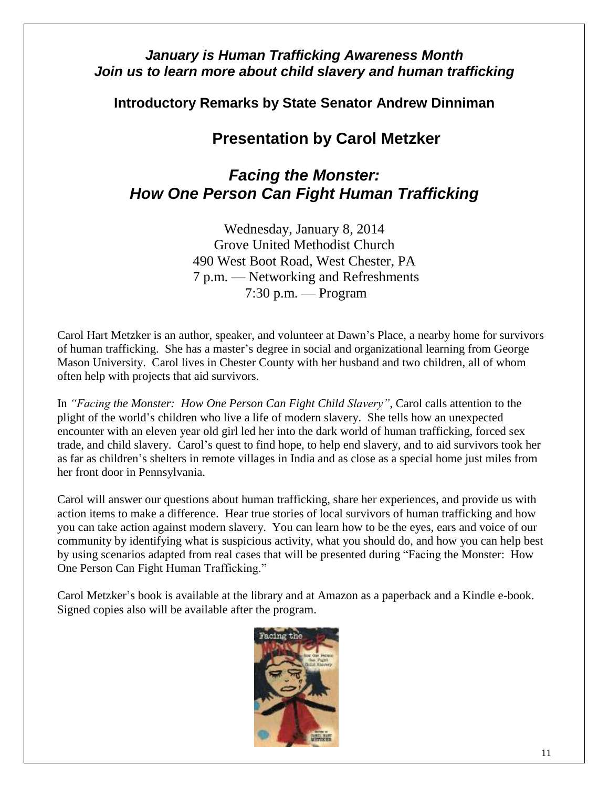#### *January is Human Trafficking Awareness Month Join us to learn more about child slavery and human trafficking*

**Introductory Remarks by State Senator Andrew Dinniman** 

## **Presentation by Carol Metzker**

## *Facing the Monster: How One Person Can Fight Human Trafficking*

Wednesday, January 8, 2014 Grove United Methodist Church 490 West Boot Road, West Chester, PA 7 p.m. — Networking and Refreshments 7:30 p.m. — Program

Carol Hart Metzker is an author, speaker, and volunteer at Dawn's Place, a nearby home for survivors of human trafficking. She has a master's degree in social and organizational learning from George Mason University. Carol lives in Chester County with her husband and two children, all of whom often help with projects that aid survivors.

In *"Facing the Monster: How One Person Can Fight Child Slavery"*, Carol calls attention to the plight of the world's children who live a life of modern slavery. She tells how an unexpected encounter with an eleven year old girl led her into the dark world of human trafficking, forced sex trade, and child slavery. Carol's quest to find hope, to help end slavery, and to aid survivors took her as far as children's shelters in remote villages in India and as close as a special home just miles from her front door in Pennsylvania.

Carol will answer our questions about human trafficking, share her experiences, and provide us with action items to make a difference. Hear true stories of local survivors of human trafficking and how you can take action against modern slavery. You can learn how to be the eyes, ears and voice of our community by identifying what is suspicious activity, what you should do, and how you can help best by using scenarios adapted from real cases that will be presented during "Facing the Monster: How One Person Can Fight Human Trafficking."

Carol Metzker's book is available at the library and at Amazon as a paperback and a Kindle e-book. Signed copies also will be available after the program.

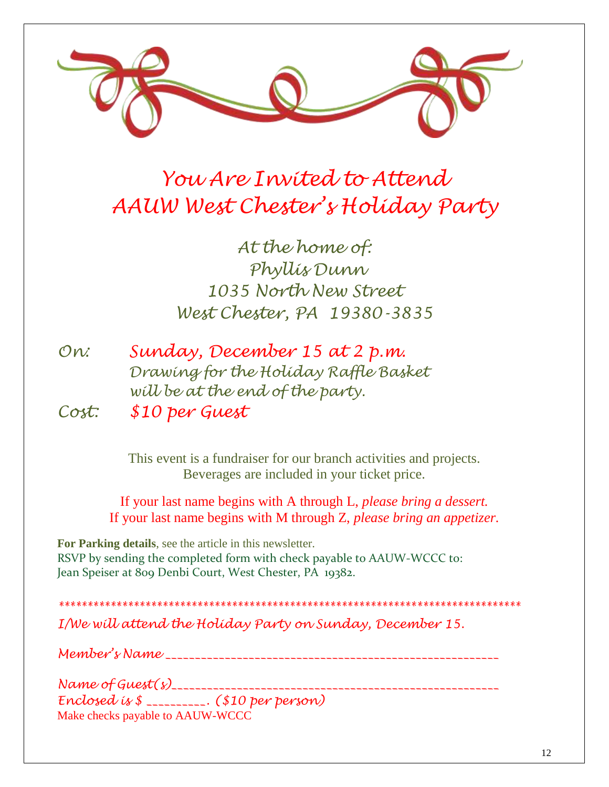

# *You Are Invited to Attend AAUW West Chester's Holiday Party*

*At the home of: Phyllis Dunn 1035 North New Street West Chester, PA 19380-3835*

| On:   | Sunday, December 15 at 2 p.m.         |
|-------|---------------------------------------|
|       | Drawing for the Holiday Raffle Basket |
|       | will be at the end of the party.      |
| Cost: | \$10 per Guest                        |

This event is a fundraiser for our branch activities and projects. Beverages are included in your ticket price.

If your last name begins with A through L, *please bring a dessert.* If your last name begins with M through Z, *please bring an appetizer.*

**For Parking details**, see the article in this newsletter. RSVP by sending the completed form with check payable to AAUW-WCCC to: Jean Speiser at 809 Denbi Court, West Chester, PA 19382.

*\*\*\*\*\*\*\*\*\*\*\*\*\*\*\*\*\*\*\*\*\*\*\*\*\*\*\*\*\*\*\*\*\*\*\*\*\*\*\*\*\*\*\*\*\*\*\*\*\*\*\*\*\*\*\*\*\*\*\*\*\*\*\*\*\*\*\*\*\*\*\*\*\*\*\*\*\*\*\*\* I/We will attend the Holiday Party on Sunday, December 15.*

*Member's Name \_\_\_\_\_\_\_\_\_\_\_\_\_\_\_\_\_\_\_\_\_\_\_\_\_\_\_\_\_\_\_\_\_\_\_\_\_\_\_\_\_\_\_\_\_\_\_\_\_\_\_\_\_\_\_\_*

*Name of Guest(s)\_\_\_\_\_\_\_\_\_\_\_\_\_\_\_\_\_\_\_\_\_\_\_\_\_\_\_\_\_\_\_\_\_\_\_\_\_\_\_\_\_\_\_\_\_\_\_\_\_\_\_\_\_\_\_ Enclosed is \$ \_\_\_\_\_\_\_\_\_\_. (\$10 per person)* Make checks payable to AAUW-WCCC